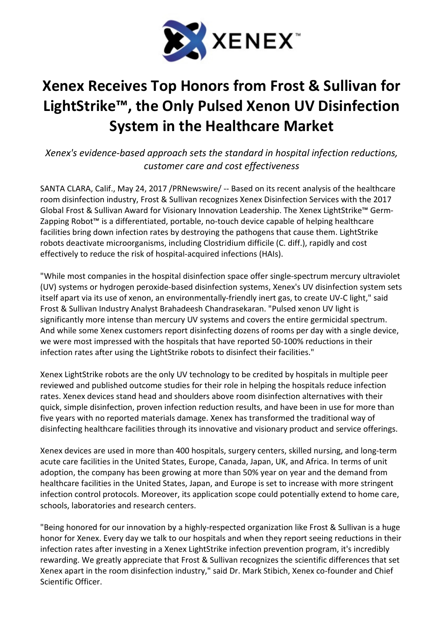

## Xenex Receives Top Honors from Frost & Sullivan for LightStrike™, the Only Pulsed Xenon UV Disinfection System in the Healthcare Market

Xenex's evidence-based approach sets the standard in hospital infection reductions, customer care and cost effectiveness

SANTA CLARA, Calif., May 24, 2017 /PRNewswire/ -- Based on its recent analysis of the healthcare room disinfection industry, Frost & Sullivan recognizes Xenex Disinfection Services with the 2017 Global Frost & Sullivan Award for Visionary Innovation Leadership. The Xenex LightStrike™ Germ-Zapping Robot™ is a differentiated, portable, no-touch device capable of helping healthcare facilities bring down infection rates by destroying the pathogens that cause them. LightStrike robots deactivate microorganisms, including Clostridium difficile (C. diff.), rapidly and cost effectively to reduce the risk of hospital-acquired infections (HAIs).

"While most companies in the hospital disinfection space offer single-spectrum mercury ultraviolet (UV) systems or hydrogen peroxide-based disinfection systems, Xenex's UV disinfection system sets itself apart via its use of xenon, an environmentally-friendly inert gas, to create UV-C light," said Frost & Sullivan Industry Analyst Brahadeesh Chandrasekaran. "Pulsed xenon UV light is significantly more intense than mercury UV systems and covers the entire germicidal spectrum. And while some Xenex customers report disinfecting dozens of rooms per day with a single device, we were most impressed with the hospitals that have reported 50-100% reductions in their infection rates after using the LightStrike robots to disinfect their facilities."

Xenex LightStrike robots are the only UV technology to be credited by hospitals in multiple peer reviewed and published outcome studies for their role in helping the hospitals reduce infection rates. Xenex devices stand head and shoulders above room disinfection alternatives with their quick, simple disinfection, proven infection reduction results, and have been in use for more than five years with no reported materials damage. Xenex has transformed the traditional way of disinfecting healthcare facilities through its innovative and visionary product and service offerings.

Xenex devices are used in more than 400 hospitals, surgery centers, skilled nursing, and long-term acute care facilities in the United States, Europe, Canada, Japan, UK, and Africa. In terms of unit adoption, the company has been growing at more than 50% year on year and the demand from healthcare facilities in the United States, Japan, and Europe is set to increase with more stringent infection control protocols. Moreover, its application scope could potentially extend to home care, schools, laboratories and research centers.

"Being honored for our innovation by a highly-respected organization like Frost & Sullivan is a huge honor for Xenex. Every day we talk to our hospitals and when they report seeing reductions in their infection rates after investing in a Xenex LightStrike infection prevention program, it's incredibly rewarding. We greatly appreciate that Frost & Sullivan recognizes the scientific differences that set Xenex apart in the room disinfection industry," said Dr. Mark Stibich, Xenex co-founder and Chief Scientific Officer.